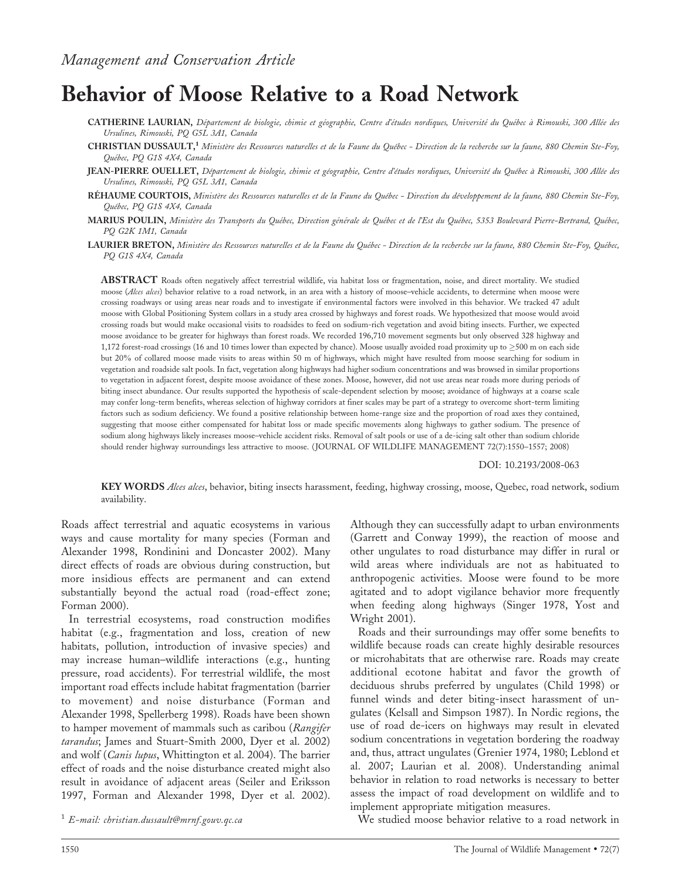# Behavior of Moose Relative to a Road Network

- CATHERINE LAURIAN, Département de biologie, chimie et géographie, Centre d'études nordiques, Université du Québec à Rimouski, 300 Allée des Ursulines, Rimouski, PQ G5L 3A1, Canada
- CHRISTIAN DUSSAULT,<sup>1</sup> Ministère des Ressources naturelles et de la Faune du Québec Direction de la recherche sur la faune, 880 Chemin Ste-Foy, Québec, PQ G1S 4X4, Canada
- JEAN-PIERRE OUELLET, Département de biologie, chimie et géographie, Centre d'études nordiques, Université du Québec à Rimouski, 300 Allée des Ursulines, Rimouski, PQ G5L 3A1, Canada
- RÉHAUME COURTOIS, Ministère des Ressources naturelles et de la Faune du Québec Direction du développement de la faune, 880 Chemin Ste-Foy, Québec, PQ G1S 4X4, Canada
- MARIUS POULIN, Ministère des Transports du Québec, Direction générale de Québec et de l'Est du Québec, 5353 Boulevard Pierre-Bertrand, Québec, PQ G2K 1M1, Canada
- LAURIER BRETON, Ministère des Ressources naturelles et de la Faune du Québec Direction de la recherche sur la faune, 880 Chemin Ste-Foy, Québec, PQ G1S 4X4, Canada

ABSTRACT Roads often negatively affect terrestrial wildlife, via habitat loss or fragmentation, noise, and direct mortality. We studied moose (Alces alces) behavior relative to a road network, in an area with a history of moose-vehicle accidents, to determine when moose were crossing roadways or using areas near roads and to investigate if environmental factors were involved in this behavior. We tracked 47 adult moose with Global Positioning System collars in a study area crossed by highways and forest roads. We hypothesized that moose would avoid crossing roads but would make occasional visits to roadsides to feed on sodium-rich vegetation and avoid biting insects. Further, we expected moose avoidance to be greater for highways than forest roads. We recorded 196,710 movement segments but only observed 328 highway and 1,172 forest-road crossings (16 and 10 times lower than expected by chance). Moose usually avoided road proximity up to  $\geq$ 500 m on each side but 20% of collared moose made visits to areas within 50 m of highways, which might have resulted from moose searching for sodium in vegetation and roadside salt pools. In fact, vegetation along highways had higher sodium concentrations and was browsed in similar proportions to vegetation in adjacent forest, despite moose avoidance of these zones. Moose, however, did not use areas near roads more during periods of biting insect abundance. Our results supported the hypothesis of scale-dependent selection by moose; avoidance of highways at a coarse scale may confer long-term benefits, whereas selection of highway corridors at finer scales may be part of a strategy to overcome short-term limiting factors such as sodium deficiency. We found a positive relationship between home-range size and the proportion of road axes they contained, suggesting that moose either compensated for habitat loss or made specific movements along highways to gather sodium. The presence of sodium along highways likely increases moose–vehicle accident risks. Removal of salt pools or use of a de-icing salt other than sodium chloride should render highway surroundings less attractive to moose. (JOURNAL OF WILDLIFE MANAGEMENT 72(7):1550–1557; 2008)

DOI: 10.2193/2008-063

KEY WORDS Alces alces, behavior, biting insects harassment, feeding, highway crossing, moose, Quebec, road network, sodium availability.

Roads affect terrestrial and aquatic ecosystems in various ways and cause mortality for many species (Forman and Alexander 1998, Rondinini and Doncaster 2002). Many direct effects of roads are obvious during construction, but more insidious effects are permanent and can extend substantially beyond the actual road (road-effect zone; Forman 2000).

In terrestrial ecosystems, road construction modifies habitat (e.g., fragmentation and loss, creation of new habitats, pollution, introduction of invasive species) and may increase human–wildlife interactions (e.g., hunting pressure, road accidents). For terrestrial wildlife, the most important road effects include habitat fragmentation (barrier to movement) and noise disturbance (Forman and Alexander 1998, Spellerberg 1998). Roads have been shown to hamper movement of mammals such as caribou (Rangifer tarandus; James and Stuart-Smith 2000, Dyer et al. 2002) and wolf (Canis lupus, Whittington et al. 2004). The barrier effect of roads and the noise disturbance created might also result in avoidance of adjacent areas (Seiler and Eriksson 1997, Forman and Alexander 1998, Dyer et al. 2002).

Although they can successfully adapt to urban environments (Garrett and Conway 1999), the reaction of moose and other ungulates to road disturbance may differ in rural or wild areas where individuals are not as habituated to anthropogenic activities. Moose were found to be more agitated and to adopt vigilance behavior more frequently when feeding along highways (Singer 1978, Yost and Wright 2001).

Roads and their surroundings may offer some benefits to wildlife because roads can create highly desirable resources or microhabitats that are otherwise rare. Roads may create additional ecotone habitat and favor the growth of deciduous shrubs preferred by ungulates (Child 1998) or funnel winds and deter biting-insect harassment of ungulates (Kelsall and Simpson 1987). In Nordic regions, the use of road de-icers on highways may result in elevated sodium concentrations in vegetation bordering the roadway and, thus, attract ungulates (Grenier 1974, 1980; Leblond et al. 2007; Laurian et al. 2008). Understanding animal behavior in relation to road networks is necessary to better assess the impact of road development on wildlife and to implement appropriate mitigation measures.

<sup>1</sup> E-mail: christian.dussault@mrnf.gouv.qc.ca We studied moose behavior relative to a road network in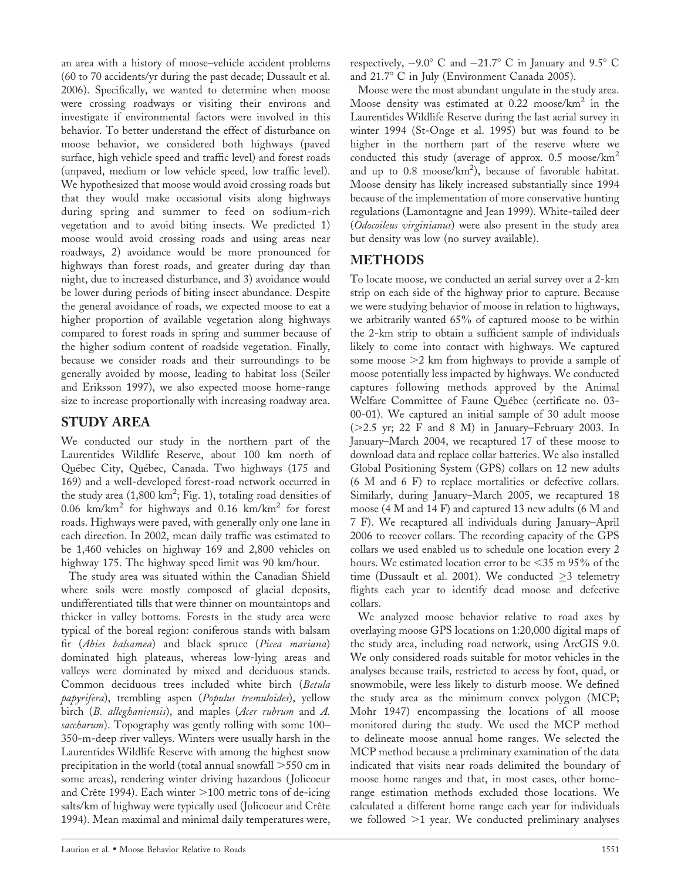an area with a history of moose–vehicle accident problems (60 to 70 accidents/yr during the past decade; Dussault et al. 2006). Specifically, we wanted to determine when moose were crossing roadways or visiting their environs and investigate if environmental factors were involved in this behavior. To better understand the effect of disturbance on moose behavior, we considered both highways (paved surface, high vehicle speed and traffic level) and forest roads (unpaved, medium or low vehicle speed, low traffic level). We hypothesized that moose would avoid crossing roads but that they would make occasional visits along highways during spring and summer to feed on sodium-rich vegetation and to avoid biting insects. We predicted 1) moose would avoid crossing roads and using areas near roadways, 2) avoidance would be more pronounced for highways than forest roads, and greater during day than night, due to increased disturbance, and 3) avoidance would be lower during periods of biting insect abundance. Despite the general avoidance of roads, we expected moose to eat a higher proportion of available vegetation along highways compared to forest roads in spring and summer because of the higher sodium content of roadside vegetation. Finally, because we consider roads and their surroundings to be generally avoided by moose, leading to habitat loss (Seiler and Eriksson 1997), we also expected moose home-range size to increase proportionally with increasing roadway area.

## STUDY AREA

We conducted our study in the northern part of the Laurentides Wildlife Reserve, about 100 km north of Québec City, Québec, Canada. Two highways (175 and 169) and a well-developed forest-road network occurred in the study area (1,800  $\text{km}^2$ ; Fig. 1), totaling road densities of 0.06 km/km<sup>2</sup> for highways and 0.16 km/km<sup>2</sup> for forest roads. Highways were paved, with generally only one lane in each direction. In 2002, mean daily traffic was estimated to be 1,460 vehicles on highway 169 and 2,800 vehicles on highway 175. The highway speed limit was 90 km/hour.

The study area was situated within the Canadian Shield where soils were mostly composed of glacial deposits, undifferentiated tills that were thinner on mountaintops and thicker in valley bottoms. Forests in the study area were typical of the boreal region: coniferous stands with balsam fir (Abies balsamea) and black spruce (Picea mariana) dominated high plateaus, whereas low-lying areas and valleys were dominated by mixed and deciduous stands. Common deciduous trees included white birch (Betula papyrifera), trembling aspen (Populus tremuloides), yellow birch (B. alleghaniensis), and maples (Acer rubrum and A. saccharum). Topography was gently rolling with some 100-350-m-deep river valleys. Winters were usually harsh in the Laurentides Wildlife Reserve with among the highest snow precipitation in the world (total annual snowfall  $>550$  cm in some areas), rendering winter driving hazardous (Jolicoeur and Crête 1994). Each winter  $>100$  metric tons of de-icing salts/km of highway were typically used (Jolicoeur and Crête 1994). Mean maximal and minimal daily temperatures were, respectively,  $-9.0^{\circ}$  C and  $-21.7^{\circ}$  C in January and 9.5° C and 21.78 C in July (Environment Canada 2005).

Moose were the most abundant ungulate in the study area. Moose density was estimated at  $0.22$  moose/km<sup>2</sup> in the Laurentides Wildlife Reserve during the last aerial survey in winter 1994 (St-Onge et al. 1995) but was found to be higher in the northern part of the reserve where we conducted this study (average of approx.  $0.5$  moose/km<sup>2</sup> and up to 0.8 moose/ $km^2$ ), because of favorable habitat. Moose density has likely increased substantially since 1994 because of the implementation of more conservative hunting regulations (Lamontagne and Jean 1999). White-tailed deer (Odocoileus virginianus) were also present in the study area but density was low (no survey available).

### METHODS

To locate moose, we conducted an aerial survey over a 2-km strip on each side of the highway prior to capture. Because we were studying behavior of moose in relation to highways, we arbitrarily wanted 65% of captured moose to be within the 2-km strip to obtain a sufficient sample of individuals likely to come into contact with highways. We captured some moose  $>2$  km from highways to provide a sample of moose potentially less impacted by highways. We conducted captures following methods approved by the Animal Welfare Committee of Faune Québec (certificate no. 03-00-01). We captured an initial sample of 30 adult moose ( $>2.5$  yr; 22 F and 8 M) in January–February 2003. In January–March 2004, we recaptured 17 of these moose to download data and replace collar batteries. We also installed Global Positioning System (GPS) collars on 12 new adults (6 M and 6 F) to replace mortalities or defective collars. Similarly, during January–March 2005, we recaptured 18 moose (4 M and 14 F) and captured 13 new adults (6 M and 7 F). We recaptured all individuals during January–April 2006 to recover collars. The recording capacity of the GPS collars we used enabled us to schedule one location every 2 hours. We estimated location error to be  $<$ 35 m 95% of the time (Dussault et al. 2001). We conducted  $\geq$ 3 telemetry flights each year to identify dead moose and defective collars.

We analyzed moose behavior relative to road axes by overlaying moose GPS locations on 1:20,000 digital maps of the study area, including road network, using ArcGIS 9.0. We only considered roads suitable for motor vehicles in the analyses because trails, restricted to access by foot, quad, or snowmobile, were less likely to disturb moose. We defined the study area as the minimum convex polygon (MCP; Mohr 1947) encompassing the locations of all moose monitored during the study. We used the MCP method to delineate moose annual home ranges. We selected the MCP method because a preliminary examination of the data indicated that visits near roads delimited the boundary of moose home ranges and that, in most cases, other homerange estimation methods excluded those locations. We calculated a different home range each year for individuals we followed  $>1$  year. We conducted preliminary analyses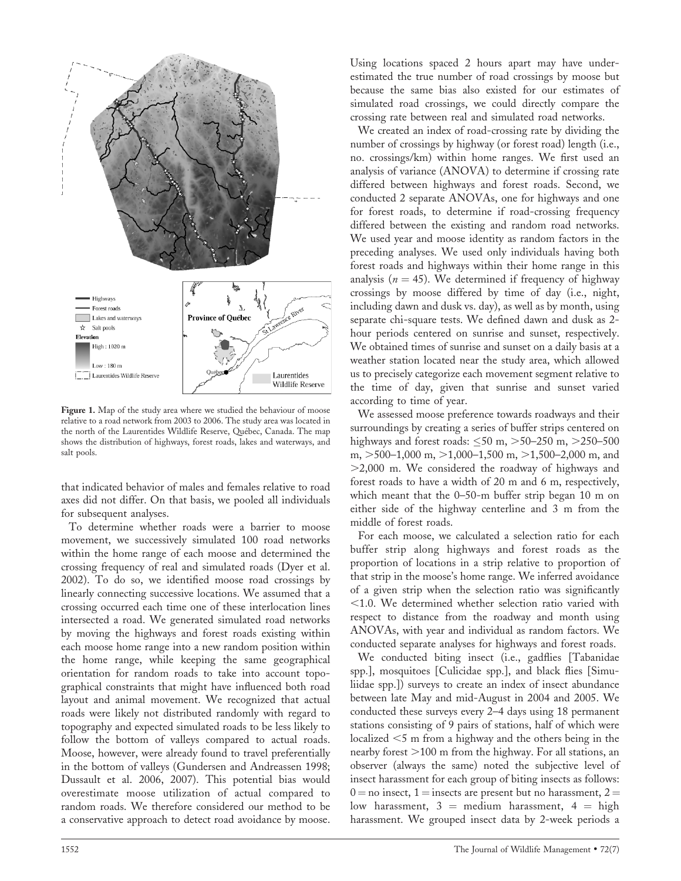

Figure 1. Map of the study area where we studied the behaviour of moose relative to a road network from 2003 to 2006. The study area was located in the north of the Laurentides Wildlife Reserve, Québec, Canada. The map shows the distribution of highways, forest roads, lakes and waterways, and salt pools.

that indicated behavior of males and females relative to road axes did not differ. On that basis, we pooled all individuals for subsequent analyses.

To determine whether roads were a barrier to moose movement, we successively simulated 100 road networks within the home range of each moose and determined the crossing frequency of real and simulated roads (Dyer et al. 2002). To do so, we identified moose road crossings by linearly connecting successive locations. We assumed that a crossing occurred each time one of these interlocation lines intersected a road. We generated simulated road networks by moving the highways and forest roads existing within each moose home range into a new random position within the home range, while keeping the same geographical orientation for random roads to take into account topographical constraints that might have influenced both road layout and animal movement. We recognized that actual roads were likely not distributed randomly with regard to topography and expected simulated roads to be less likely to follow the bottom of valleys compared to actual roads. Moose, however, were already found to travel preferentially in the bottom of valleys (Gundersen and Andreassen 1998; Dussault et al. 2006, 2007). This potential bias would overestimate moose utilization of actual compared to random roads. We therefore considered our method to be a conservative approach to detect road avoidance by moose.

Using locations spaced 2 hours apart may have underestimated the true number of road crossings by moose but because the same bias also existed for our estimates of simulated road crossings, we could directly compare the crossing rate between real and simulated road networks.

We created an index of road-crossing rate by dividing the number of crossings by highway (or forest road) length (i.e., no. crossings/km) within home ranges. We first used an analysis of variance (ANOVA) to determine if crossing rate differed between highways and forest roads. Second, we conducted 2 separate ANOVAs, one for highways and one for forest roads, to determine if road-crossing frequency differed between the existing and random road networks. We used year and moose identity as random factors in the preceding analyses. We used only individuals having both forest roads and highways within their home range in this analysis ( $n = 45$ ). We determined if frequency of highway crossings by moose differed by time of day (i.e., night, including dawn and dusk vs. day), as well as by month, using separate chi-square tests. We defined dawn and dusk as 2 hour periods centered on sunrise and sunset, respectively. We obtained times of sunrise and sunset on a daily basis at a weather station located near the study area, which allowed us to precisely categorize each movement segment relative to the time of day, given that sunrise and sunset varied according to time of year.

We assessed moose preference towards roadways and their surroundings by creating a series of buffer strips centered on highways and forest roads:  $\leq 50$  m,  $> 50-250$  m,  $> 250-500$ m,  $>500-1,000$  m,  $>1,000-1,500$  m,  $>1,500-2,000$  m, and  $>2,000$  m. We considered the roadway of highways and forest roads to have a width of 20 m and 6 m, respectively, which meant that the 0–50-m buffer strip began 10 m on either side of the highway centerline and 3 m from the middle of forest roads.

For each moose, we calculated a selection ratio for each buffer strip along highways and forest roads as the proportion of locations in a strip relative to proportion of that strip in the moose's home range. We inferred avoidance of a given strip when the selection ratio was significantly  $<$ 1.0. We determined whether selection ratio varied with respect to distance from the roadway and month using ANOVAs, with year and individual as random factors. We conducted separate analyses for highways and forest roads.

We conducted biting insect (i.e., gadflies [Tabanidae spp.], mosquitoes [Culicidae spp.], and black flies [Simuliidae spp.]) surveys to create an index of insect abundance between late May and mid-August in 2004 and 2005. We conducted these surveys every 2–4 days using 18 permanent stations consisting of 9 pairs of stations, half of which were localized  $\leq$  5 m from a highway and the others being in the nearby forest >100 m from the highway. For all stations, an observer (always the same) noted the subjective level of insect harassment for each group of biting insects as follows:  $0 =$  no insect, 1 = insects are present but no harassment, 2 = low harassment,  $3 =$  medium harassment,  $4 =$  high harassment. We grouped insect data by 2-week periods a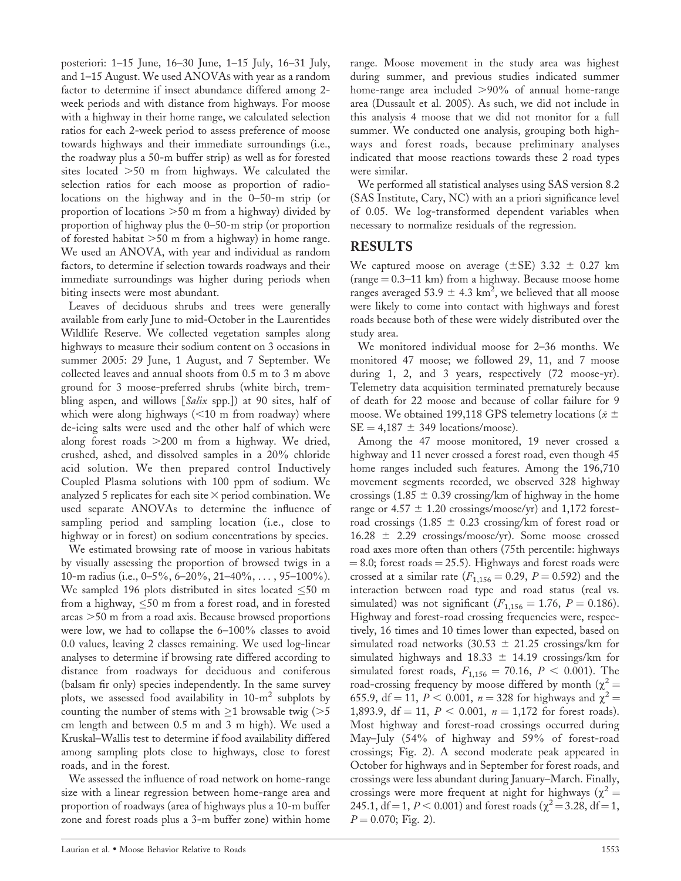posteriori: 1–15 June, 16–30 June, 1–15 July, 16–31 July, and 1–15 August. We used ANOVAS with year as a random factor to determine if insect abundance differed among 2 week periods and with distance from highways. For moose with a highway in their home range, we calculated selection ratios for each 2-week period to assess preference of moose towards highways and their immediate surroundings (i.e., the roadway plus a 50-m buffer strip) as well as for forested sites located  $>50$  m from highways. We calculated the selection ratios for each moose as proportion of radiolocations on the highway and in the 0–50-m strip (or proportion of locations  $>50$  m from a highway) divided by proportion of highway plus the 0–50-m strip (or proportion of forested habitat  $>50$  m from a highway) in home range. We used an ANOVA, with year and individual as random factors, to determine if selection towards roadways and their immediate surroundings was higher during periods when biting insects were most abundant.

Leaves of deciduous shrubs and trees were generally available from early June to mid-October in the Laurentides Wildlife Reserve. We collected vegetation samples along highways to measure their sodium content on 3 occasions in summer 2005: 29 June, 1 August, and 7 September. We collected leaves and annual shoots from 0.5 m to 3 m above ground for 3 moose-preferred shrubs (white birch, trembling aspen, and willows [Salix spp.]) at 90 sites, half of which were along highways  $(<10$  m from roadway) where de-icing salts were used and the other half of which were along forest roads  $>200$  m from a highway. We dried, crushed, ashed, and dissolved samples in a 20% chloride acid solution. We then prepared control Inductively Coupled Plasma solutions with 100 ppm of sodium. We analyzed 5 replicates for each site  $\times$  period combination. We used separate ANOVAs to determine the influence of sampling period and sampling location (i.e., close to highway or in forest) on sodium concentrations by species.

We estimated browsing rate of moose in various habitats by visually assessing the proportion of browsed twigs in a 10-m radius (i.e., 0–5%, 6–20%, 21–40%, ... , 95–100%). We sampled 196 plots distributed in sites located  $\leq 50$  m from a highway,  $\leq 50$  m from a forest road, and in forested  $a$ reas  $>50$  m from a road axis. Because browsed proportions were low, we had to collapse the 6–100% classes to avoid 0.0 values, leaving 2 classes remaining. We used log-linear analyses to determine if browsing rate differed according to distance from roadways for deciduous and coniferous (balsam fir only) species independently. In the same survey plots, we assessed food availability in  $10-m^2$  subplots by counting the number of stems with  $\geq$ 1 browsable twig (>5 cm length and between 0.5 m and 3 m high). We used a Kruskal–Wallis test to determine if food availability differed among sampling plots close to highways, close to forest roads, and in the forest.

We assessed the influence of road network on home-range size with a linear regression between home-range area and proportion of roadways (area of highways plus a 10-m buffer zone and forest roads plus a 3-m buffer zone) within home range. Moose movement in the study area was highest during summer, and previous studies indicated summer home-range area included  $>90\%$  of annual home-range area (Dussault et al. 2005). As such, we did not include in this analysis 4 moose that we did not monitor for a full summer. We conducted one analysis, grouping both highways and forest roads, because preliminary analyses indicated that moose reactions towards these 2 road types were similar.

We performed all statistical analyses using SAS version 8.2 (SAS Institute, Cary, NC) with an a priori significance level of 0.05. We log-transformed dependent variables when necessary to normalize residuals of the regression.

#### RESULTS

We captured moose on average ( $\pm$ SE) 3.32  $\pm$  0.27 km  $(range = 0.3-11 km)$  from a highway. Because moose home ranges averaged 53.9  $\pm$  4.3 km<sup>2</sup>, we believed that all moose were likely to come into contact with highways and forest roads because both of these were widely distributed over the study area.

We monitored individual moose for 2–36 months. We monitored 47 moose; we followed 29, 11, and 7 moose during 1, 2, and 3 years, respectively (72 moose-yr). Telemetry data acquisition terminated prematurely because of death for 22 moose and because of collar failure for 9 moose. We obtained 199,118 GPS telemetry locations ( $\bar{x}$   $\pm$  $SE = 4,187 \pm 349$  locations/moose).

Among the 47 moose monitored, 19 never crossed a highway and 11 never crossed a forest road, even though 45 home ranges included such features. Among the 196,710 movement segments recorded, we observed 328 highway crossings (1.85  $\pm$  0.39 crossing/km of highway in the home range or  $4.57 \pm 1.20$  crossings/moose/yr) and 1,172 forestroad crossings (1.85  $\pm$  0.23 crossing/km of forest road or  $16.28 \pm 2.29$  crossings/moose/yr). Some moose crossed road axes more often than others (75th percentile: highways  $= 8.0$ ; forest roads  $= 25.5$ ). Highways and forest roads were crossed at a similar rate  $(F_{1,156} = 0.29, P = 0.592)$  and the interaction between road type and road status (real vs. simulated) was not significant  $(F_{1,156} = 1.76, P = 0.186)$ . Highway and forest-road crossing frequencies were, respectively, 16 times and 10 times lower than expected, based on simulated road networks (30.53  $\pm$  21.25 crossings/km for simulated highways and  $18.33 \pm 14.19$  crossings/km for simulated forest roads,  $F_{1,156} = 70.16$ ,  $P < 0.001$ ). The road-crossing frequency by moose differed by month ( $\chi^2$  = 655.9, df = 11, P < 0.001, n = 328 for highways and  $\chi^2$  = 1,893.9, df = 11,  $P < 0.001$ ,  $n = 1,172$  for forest roads). Most highway and forest-road crossings occurred during May–July (54% of highway and 59% of forest-road crossings; Fig. 2). A second moderate peak appeared in October for highways and in September for forest roads, and crossings were less abundant during January–March. Finally, crossings were more frequent at night for highways ( $\chi^2$  = 245.1, df = 1,  $P < 0.001$ ) and forest roads ( $\chi^2$  = 3.28, df = 1,  $P = 0.070$ ; Fig. 2).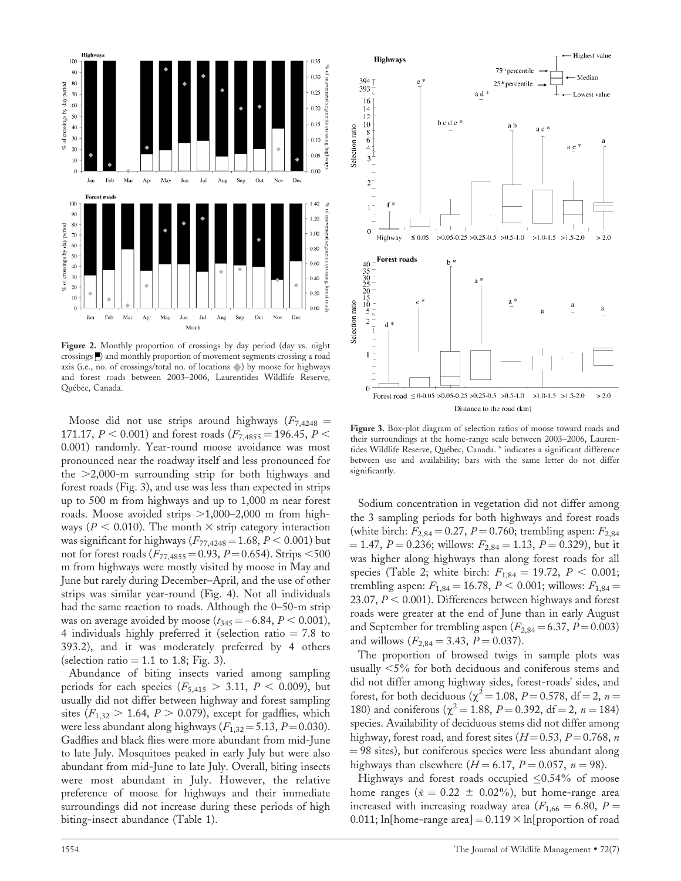

Figure 2. Monthly proportion of crossings by day period (day vs. night crossings ) and monthly proportion of movement segments crossing a road axis (i.e., no. of crossings/total no. of locations  $\bullet$  ) by moose for highways and forest roads between 2003–2006, Laurentides Wildlife Reserve, Québec, Canada.

Moose did not use strips around highways  $(F_{7,4248} =$ 171.17,  $P < 0.001$ ) and forest roads ( $F_{7,4855} = 196.45$ ,  $P <$ 0.001) randomly. Year-round moose avoidance was most pronounced near the roadway itself and less pronounced for the  $\geq 2,000$ -m surrounding strip for both highways and forest roads (Fig. 3), and use was less than expected in strips up to 500 m from highways and up to 1,000 m near forest roads. Moose avoided strips  $>1,000-2,000$  m from highways ( $P < 0.010$ ). The month  $\times$  strip category interaction was significant for highways ( $F_{77,4248}$  = 1.68,  $P$  < 0.001) but not for forest roads  $(F_{77,4855} = 0.93, P = 0.654)$ . Strips <500 m from highways were mostly visited by moose in May and June but rarely during December–April, and the use of other strips was similar year-round (Fig. 4). Not all individuals had the same reaction to roads. Although the 0–50-m strip was on average avoided by moose  $(t_{345} = -6.84, P < 0.001)$ , 4 individuals highly preferred it (selection ratio  $= 7.8$  to 393.2), and it was moderately preferred by 4 others (selection ratio  $= 1.1$  to 1.8; Fig. 3).

Abundance of biting insects varied among sampling periods for each species ( $F_{5,415} > 3.11, P < 0.009$ ), but usually did not differ between highway and forest sampling sites  $(F_{1,32} > 1.64, P > 0.079)$ , except for gadflies, which were less abundant along highways  $(F_{1,32} = 5.13, P = 0.030)$ . Gadflies and black flies were more abundant from mid-June to late July. Mosquitoes peaked in early July but were also abundant from mid-June to late July. Overall, biting insects were most abundant in July. However, the relative preference of moose for highways and their immediate surroundings did not increase during these periods of high biting-insect abundance (Table 1).



Figure 3. Box-plot diagram of selection ratios of moose toward roads and their surroundings at the home-range scale between 2003–2006, Laurentides Wildlife Reserve, Québec, Canada. \* indicates a significant difference between use and availability; bars with the same letter do not differ significantly.

Sodium concentration in vegetation did not differ among the 3 sampling periods for both highways and forest roads (white birch:  $F_{2,84} = 0.27$ ,  $P = 0.760$ ; trembling aspen:  $F_{2,84}$  $= 1.47, P = 0.236$ ; willows:  $F_{2,84} = 1.13, P = 0.329$ ), but it was higher along highways than along forest roads for all species (Table 2; white birch:  $F_{1,84} = 19.72, P < 0.001;$ trembling aspen:  $F_{1,84} = 16.78, P < 0.001$ ; willows:  $F_{1,84} =$ 23.07,  $P < 0.001$ ). Differences between highways and forest roads were greater at the end of June than in early August and September for trembling aspen ( $F_{2,84} = 6.37, P = 0.003$ ) and willows  $(F_{2,84} = 3.43, P = 0.037)$ .

The proportion of browsed twigs in sample plots was usually  $\leq 5\%$  for both deciduous and coniferous stems and did not differ among highway sides, forest-roads' sides, and forest, for both deciduous ( $\chi^2 = 1.08$ ,  $P = 0.578$ , df = 2, n = 180) and coniferous ( $\chi^2 = 1.88$ ,  $P = 0.392$ , df = 2, n = 184) species. Availability of deciduous stems did not differ among highway, forest road, and forest sites  $(H=0.53, P=0.768, n$  $= 98$  sites), but coniferous species were less abundant along highways than elsewhere  $(H = 6.17, P = 0.057, n = 98)$ .

Highways and forest roads occupied  $\leq 0.54\%$  of moose home ranges ( $\bar{x} = 0.22 \pm 0.02\%$ ), but home-range area increased with increasing roadway area ( $F_{1,66} = 6.80, P =$ 0.011; ln[home-range area] =  $0.119 \times \ln$ [proportion of road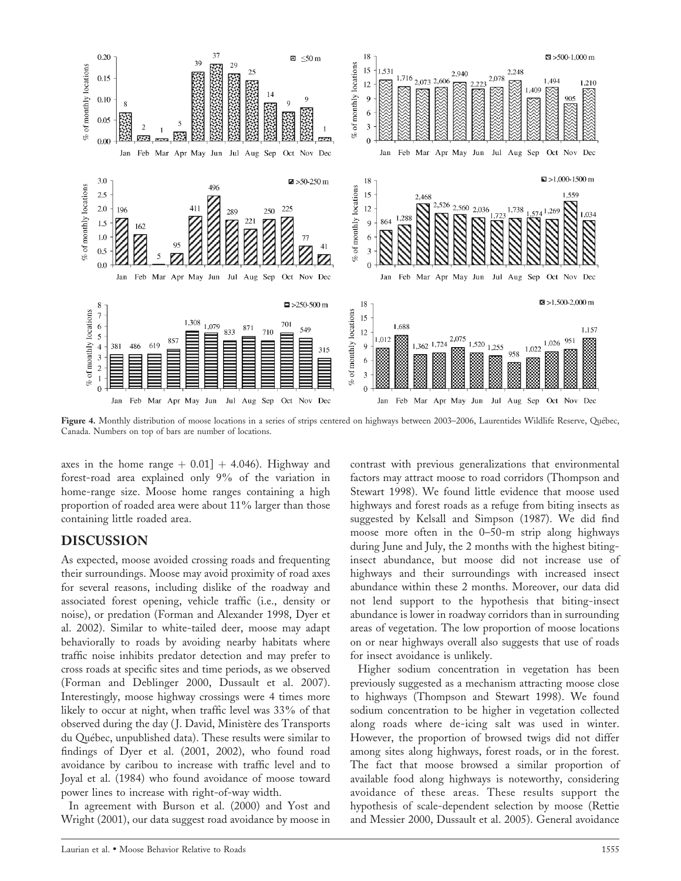

Figure 4. Monthly distribution of moose locations in a series of strips centered on highways between 2003-2006, Laurentides Wildlife Reserve, Québec, Canada. Numbers on top of bars are number of locations.

axes in the home range  $+$  0.01]  $+$  4.046). Highway and forest-road area explained only 9% of the variation in home-range size. Moose home ranges containing a high proportion of roaded area were about 11% larger than those containing little roaded area.

### DISCUSSION

As expected, moose avoided crossing roads and frequenting their surroundings. Moose may avoid proximity of road axes for several reasons, including dislike of the roadway and associated forest opening, vehicle traffic (i.e., density or noise), or predation (Forman and Alexander 1998, Dyer et al. 2002). Similar to white-tailed deer, moose may adapt behaviorally to roads by avoiding nearby habitats where traffic noise inhibits predator detection and may prefer to cross roads at specific sites and time periods, as we observed (Forman and Deblinger 2000, Dussault et al. 2007). Interestingly, moose highway crossings were 4 times more likely to occur at night, when traffic level was 33% of that observed during the day (J. David, Ministère des Transports du Québec, unpublished data). These results were similar to findings of Dyer et al. (2001, 2002), who found road avoidance by caribou to increase with traffic level and to Joyal et al. (1984) who found avoidance of moose toward power lines to increase with right-of-way width.

In agreement with Burson et al. (2000) and Yost and Wright (2001), our data suggest road avoidance by moose in contrast with previous generalizations that environmental factors may attract moose to road corridors (Thompson and Stewart 1998). We found little evidence that moose used highways and forest roads as a refuge from biting insects as suggested by Kelsall and Simpson (1987). We did find moose more often in the 0–50-m strip along highways during June and July, the 2 months with the highest bitinginsect abundance, but moose did not increase use of highways and their surroundings with increased insect abundance within these 2 months. Moreover, our data did not lend support to the hypothesis that biting-insect abundance is lower in roadway corridors than in surrounding areas of vegetation. The low proportion of moose locations on or near highways overall also suggests that use of roads for insect avoidance is unlikely.

Higher sodium concentration in vegetation has been previously suggested as a mechanism attracting moose close to highways (Thompson and Stewart 1998). We found sodium concentration to be higher in vegetation collected along roads where de-icing salt was used in winter. However, the proportion of browsed twigs did not differ among sites along highways, forest roads, or in the forest. The fact that moose browsed a similar proportion of available food along highways is noteworthy, considering avoidance of these areas. These results support the hypothesis of scale-dependent selection by moose (Rettie and Messier 2000, Dussault et al. 2005). General avoidance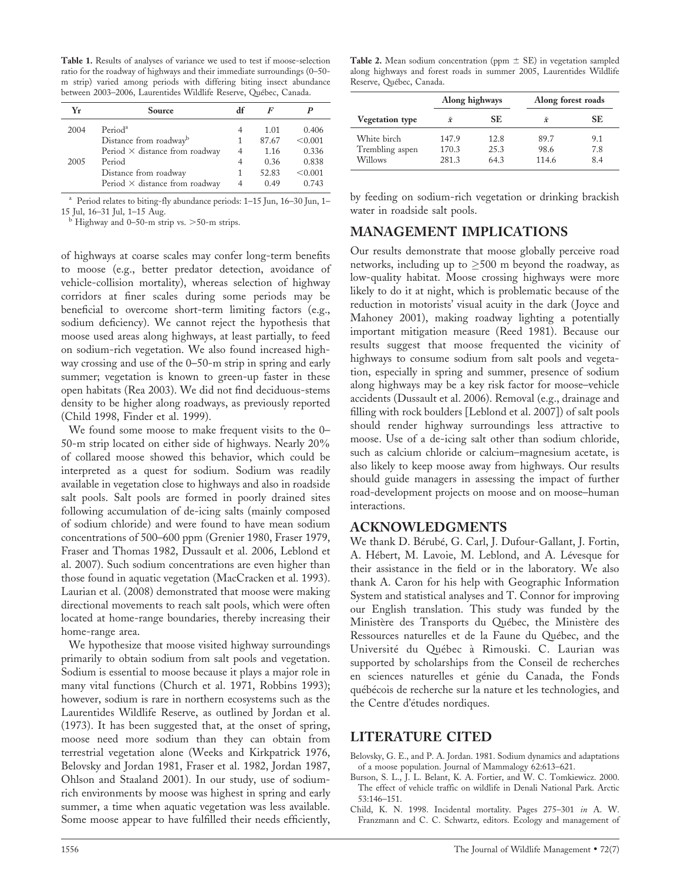Table 1. Results of analyses of variance we used to test if moose-selection ratio for the roadway of highways and their immediate surroundings (0–50 m strip) varied among periods with differing biting insect abundance between 2003–2006, Laurentides Wildlife Reserve, Québec, Canada.

| Yr   | Source                                | df | F     |         |
|------|---------------------------------------|----|-------|---------|
| 2004 | Period <sup>a</sup>                   | 4  | 1.01  | 0.406   |
|      | Distance from roadway <sup>b</sup>    |    | 87.67 | < 0.001 |
|      | Period $\times$ distance from roadway | 4  | 1.16  | 0.336   |
| 2005 | Period                                | 4  | 0.36  | 0.838   |
|      | Distance from roadway                 |    | 52.83 | < 0.001 |
|      | Period $\times$ distance from roadway | 4  | 0.49  | 0.743   |

<sup>a</sup> Period relates to biting-fly abundance periods:  $1-15$  Jun,  $16-30$  Jun,  $1-15$  Jul,  $16-31$  Jul,  $1-15$  Aug.

 $^{15}$  Highway and 0–50-m strip vs.  $>$ 50-m strips.

of highways at coarse scales may confer long-term benefits to moose (e.g., better predator detection, avoidance of vehicle-collision mortality), whereas selection of highway corridors at finer scales during some periods may be beneficial to overcome short-term limiting factors (e.g., sodium deficiency). We cannot reject the hypothesis that moose used areas along highways, at least partially, to feed on sodium-rich vegetation. We also found increased highway crossing and use of the 0–50-m strip in spring and early summer; vegetation is known to green-up faster in these open habitats (Rea 2003). We did not find deciduous-stems density to be higher along roadways, as previously reported (Child 1998, Finder et al. 1999).

We found some moose to make frequent visits to the 0– 50-m strip located on either side of highways. Nearly 20% of collared moose showed this behavior, which could be interpreted as a quest for sodium. Sodium was readily available in vegetation close to highways and also in roadside salt pools. Salt pools are formed in poorly drained sites following accumulation of de-icing salts (mainly composed of sodium chloride) and were found to have mean sodium concentrations of 500–600 ppm (Grenier 1980, Fraser 1979, Fraser and Thomas 1982, Dussault et al. 2006, Leblond et al. 2007). Such sodium concentrations are even higher than those found in aquatic vegetation (MacCracken et al. 1993). Laurian et al. (2008) demonstrated that moose were making directional movements to reach salt pools, which were often located at home-range boundaries, thereby increasing their home-range area.

We hypothesize that moose visited highway surroundings primarily to obtain sodium from salt pools and vegetation. Sodium is essential to moose because it plays a major role in many vital functions (Church et al. 1971, Robbins 1993); however, sodium is rare in northern ecosystems such as the Laurentides Wildlife Reserve, as outlined by Jordan et al. (1973). It has been suggested that, at the onset of spring, moose need more sodium than they can obtain from terrestrial vegetation alone (Weeks and Kirkpatrick 1976, Belovsky and Jordan 1981, Fraser et al. 1982, Jordan 1987, Ohlson and Staaland 2001). In our study, use of sodiumrich environments by moose was highest in spring and early summer, a time when aquatic vegetation was less available. Some moose appear to have fulfilled their needs efficiently,

Table 2. Mean sodium concentration (ppm  $\pm$  SE) in vegetation sampled along highways and forest roads in summer 2005, Laurentides Wildlife Reserve, Québec, Canada.

|                 | Along highways |      | Along forest roads |     |  |
|-----------------|----------------|------|--------------------|-----|--|
| Vegetation type | $\overline{x}$ | SE.  | $\bar{x}$          | SE. |  |
| White birch     | 147.9          | 12.8 | 89.7               | 9.1 |  |
| Trembling aspen | 170.3          | 25.3 | 98.6               | 7.8 |  |
| Willows         | 281.3          | 64.3 | 114.6              | 84  |  |

by feeding on sodium-rich vegetation or drinking brackish water in roadside salt pools.

## MANAGEMENT IMPLICATIONS

Our results demonstrate that moose globally perceive road networks, including up to  $\geq$ 500 m beyond the roadway, as low-quality habitat. Moose crossing highways were more likely to do it at night, which is problematic because of the reduction in motorists' visual acuity in the dark (Joyce and Mahoney 2001), making roadway lighting a potentially important mitigation measure (Reed 1981). Because our results suggest that moose frequented the vicinity of highways to consume sodium from salt pools and vegetation, especially in spring and summer, presence of sodium along highways may be a key risk factor for moose–vehicle accidents (Dussault et al. 2006). Removal (e.g., drainage and filling with rock boulders [Leblond et al. 2007]) of salt pools should render highway surroundings less attractive to moose. Use of a de-icing salt other than sodium chloride, such as calcium chloride or calcium–magnesium acetate, is also likely to keep moose away from highways. Our results should guide managers in assessing the impact of further road-development projects on moose and on moose–human interactions.

#### ACKNOWLEDGMENTS

We thank D. Bérubé, G. Carl, J. Dufour-Gallant, J. Fortin, A. Hébert, M. Lavoie, M. Leblond, and A. Lévesque for their assistance in the field or in the laboratory. We also thank A. Caron for his help with Geographic Information System and statistical analyses and T. Connor for improving our English translation. This study was funded by the Ministère des Transports du Québec, the Ministère des Ressources naturelles et de la Faune du Québec, and the Université du Québec à Rimouski. C. Laurian was supported by scholarships from the Conseil de recherches en sciences naturelles et génie du Canada, the Fonds québécois de recherche sur la nature et les technologies, and the Centre d'études nordiques.

### LITERATURE CITED

- Belovsky, G. E., and P. A. Jordan. 1981. Sodium dynamics and adaptations of a moose population. Journal of Mammalogy 62:613–621.
- Burson, S. L., J. L. Belant, K. A. Fortier, and W. C. Tomkiewicz. 2000. The effect of vehicle traffic on wildlife in Denali National Park. Arctic 53:146–151.
- Child, K. N. 1998. Incidental mortality. Pages 275–301 in A. W. Franzmann and C. C. Schwartz, editors. Ecology and management of